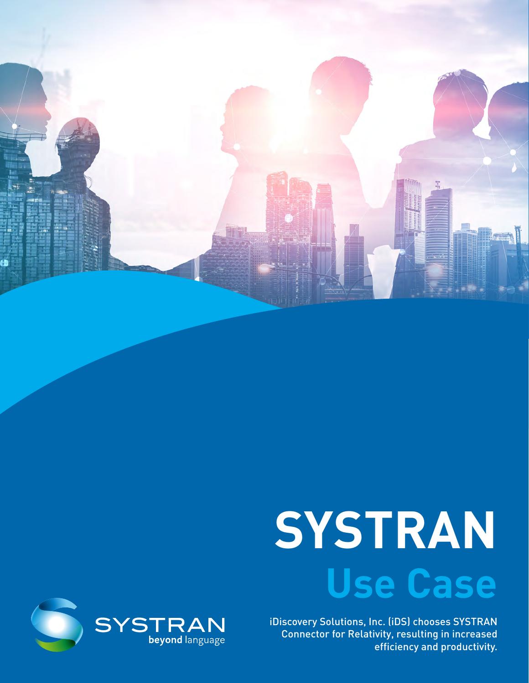

# **SYSTRAN Use Case**

iDiscovery Solutions, Inc. (iDS) chooses SYSTRAN Connector for Relativity, resulting in increased efficiency and productivity.

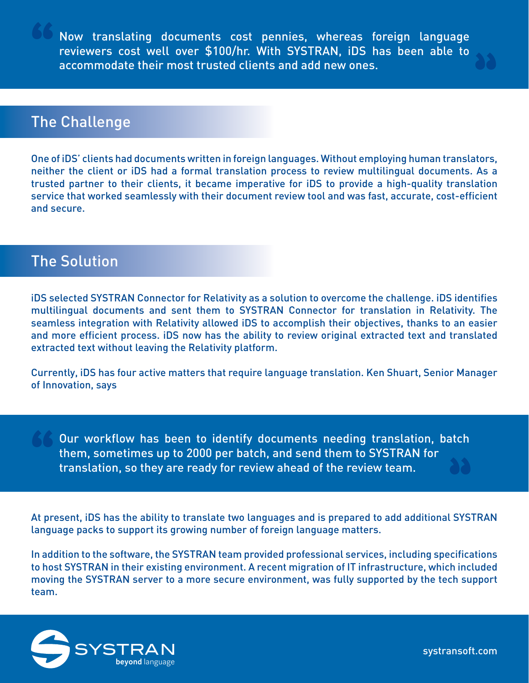Now translating documents cost pennies, whereas foreign language reviewers cost well over \$100/hr. With SYSTRAN, iDS has been able to accommodate their most trusted clients and add new ones.

## The Challenge

One of iDS' clients had documents written in foreign languages. Without employing human translators, neither the client or iDS had a formal translation process to review multilingual documents. As a trusted partner to their clients, it became imperative for iDS to provide a high-quality translation service that worked seamlessly with their document review tool and was fast, accurate, cost-efficient and secure.

#### The Solution

**"**

iDS selected SYSTRAN Connector for Relativity as a solution to overcome the challenge. iDS identifies multilingual documents and sent them to SYSTRAN Connector for translation in Relativity. The seamless integration with Relativity allowed iDS to accomplish their objectives, thanks to an easier and more efficient process. iDS now has the ability to review original extracted text and translated extracted text without leaving the Relativity platform.

Currently, iDS has four active matters that require language translation. Ken Shuart, Senior Manager of Innovation, says

Our workflow has been to identify documents needing translation, batch them, sometimes up to 2000 per batch, and send them to SYSTRAN for translation, so they are ready for review ahead of the review team.

At present, iDS has the ability to translate two languages and is prepared to add additional SYSTRAN language packs to support its growing number of foreign language matters.

In addition to the software, the SYSTRAN team provided professional services, including specifications to host SYSTRAN in their existing environment. A recent migration of IT infrastructure, which included moving the SYSTRAN server to a more secure environment, was fully supported by the tech support team.



[systransoft.com](http://www.systrangroup.com)